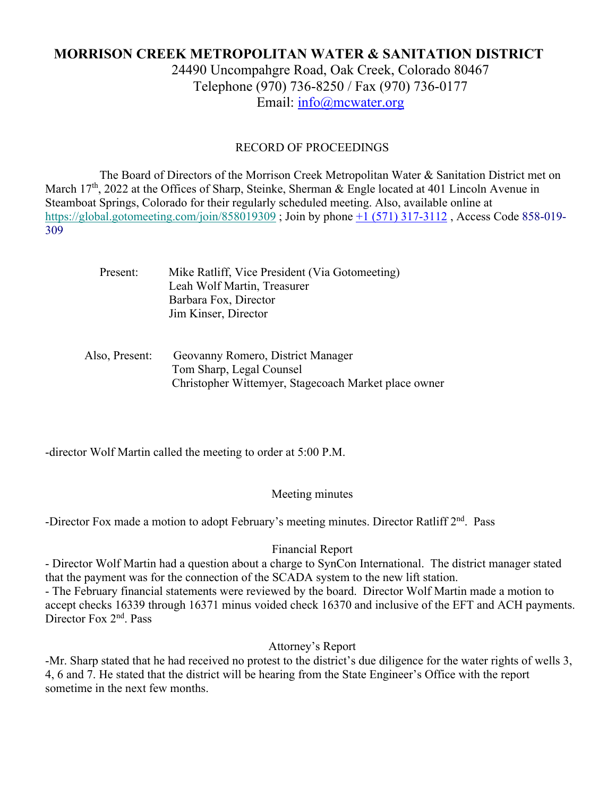# **MORRISON CREEK METROPOLITAN WATER & SANITATION DISTRICT**

24490 Uncompahgre Road, Oak Creek, Colorado 80467 Telephone (970) 736-8250 / Fax (970) 736-0177 Email: info@mcwater.org

#### RECORD OF PROCEEDINGS

 The Board of Directors of the Morrison Creek Metropolitan Water & Sanitation District met on March 17<sup>th</sup>, 2022 at the Offices of Sharp, Steinke, Sherman & Engle located at 401 Lincoln Avenue in Steamboat Springs, Colorado for their regularly scheduled meeting. Also, available online at https://global.gotomeeting.com/join/858019309 ; Join by phone +1 (571) 317-3112 , Access Code 858-019- 309

| Present: | Mike Ratliff, Vice President (Via Gotomeeting) |
|----------|------------------------------------------------|
|          | Leah Wolf Martin, Treasurer                    |
|          | Barbara Fox, Director                          |
|          | Jim Kinser, Director                           |
|          |                                                |

### Also, Present: Geovanny Romero, District Manager Tom Sharp, Legal Counsel Christopher Wittemyer, Stagecoach Market place owner

-director Wolf Martin called the meeting to order at 5:00 P.M.

#### Meeting minutes

-Director Fox made a motion to adopt February's meeting minutes. Director Ratliff 2<sup>nd</sup>. Pass

#### Financial Report

- Director Wolf Martin had a question about a charge to SynCon International. The district manager stated that the payment was for the connection of the SCADA system to the new lift station.

- The February financial statements were reviewed by the board. Director Wolf Martin made a motion to accept checks 16339 through 16371 minus voided check 16370 and inclusive of the EFT and ACH payments. Director Fox 2<sup>nd</sup>. Pass

## Attorney's Report

-Mr. Sharp stated that he had received no protest to the district's due diligence for the water rights of wells 3, 4, 6 and 7. He stated that the district will be hearing from the State Engineer's Office with the report sometime in the next few months.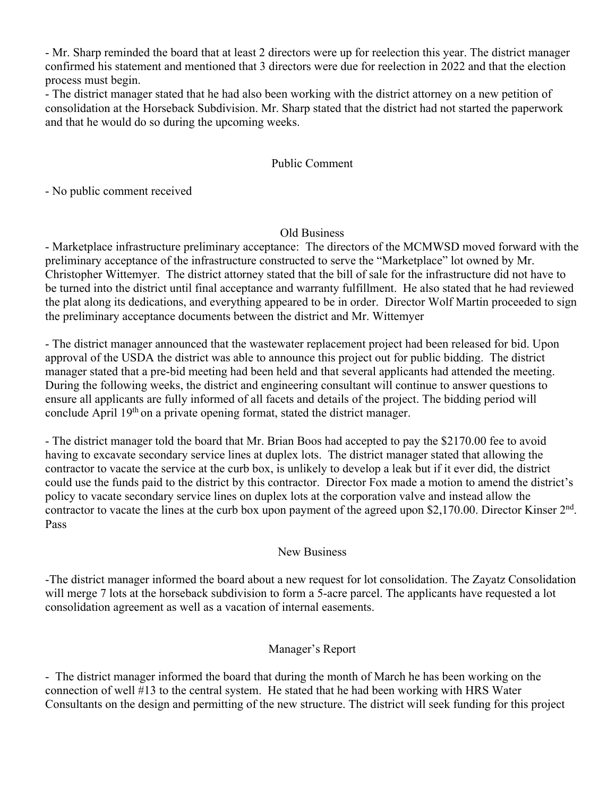- Mr. Sharp reminded the board that at least 2 directors were up for reelection this year. The district manager confirmed his statement and mentioned that 3 directors were due for reelection in 2022 and that the election process must begin.

- The district manager stated that he had also been working with the district attorney on a new petition of consolidation at the Horseback Subdivision. Mr. Sharp stated that the district had not started the paperwork and that he would do so during the upcoming weeks.

# Public Comment

- No public comment received

## Old Business

- Marketplace infrastructure preliminary acceptance: The directors of the MCMWSD moved forward with the preliminary acceptance of the infrastructure constructed to serve the "Marketplace" lot owned by Mr. Christopher Wittemyer. The district attorney stated that the bill of sale for the infrastructure did not have to be turned into the district until final acceptance and warranty fulfillment. He also stated that he had reviewed the plat along its dedications, and everything appeared to be in order. Director Wolf Martin proceeded to sign the preliminary acceptance documents between the district and Mr. Wittemyer

- The district manager announced that the wastewater replacement project had been released for bid. Upon approval of the USDA the district was able to announce this project out for public bidding. The district manager stated that a pre-bid meeting had been held and that several applicants had attended the meeting. During the following weeks, the district and engineering consultant will continue to answer questions to ensure all applicants are fully informed of all facets and details of the project. The bidding period will conclude April 19<sup>th</sup> on a private opening format, stated the district manager.

- The district manager told the board that Mr. Brian Boos had accepted to pay the \$2170.00 fee to avoid having to excavate secondary service lines at duplex lots. The district manager stated that allowing the contractor to vacate the service at the curb box, is unlikely to develop a leak but if it ever did, the district could use the funds paid to the district by this contractor. Director Fox made a motion to amend the district's policy to vacate secondary service lines on duplex lots at the corporation valve and instead allow the contractor to vacate the lines at the curb box upon payment of the agreed upon \$2,170.00. Director Kinser  $2<sup>nd</sup>$ . Pass

### New Business

-The district manager informed the board about a new request for lot consolidation. The Zayatz Consolidation will merge 7 lots at the horseback subdivision to form a 5-acre parcel. The applicants have requested a lot consolidation agreement as well as a vacation of internal easements.

# Manager's Report

- The district manager informed the board that during the month of March he has been working on the connection of well #13 to the central system. He stated that he had been working with HRS Water Consultants on the design and permitting of the new structure. The district will seek funding for this project